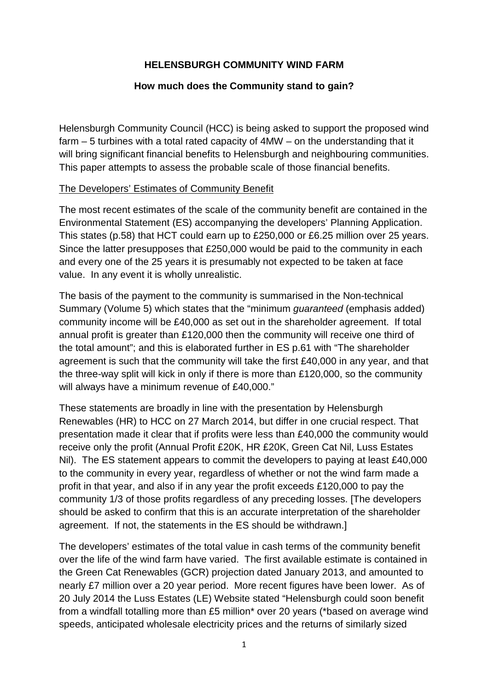# **HELENSBURGH COMMUNITY WIND FARM**

## **How much does the Community stand to gain?**

Helensburgh Community Council (HCC) is being asked to support the proposed wind farm – 5 turbines with a total rated capacity of 4MW – on the understanding that it will bring significant financial benefits to Helensburgh and neighbouring communities. This paper attempts to assess the probable scale of those financial benefits.

## The Developers' Estimates of Community Benefit

The most recent estimates of the scale of the community benefit are contained in the Environmental Statement (ES) accompanying the developers' Planning Application. This states (p.58) that HCT could earn up to £250,000 or £6.25 million over 25 years. Since the latter presupposes that £250,000 would be paid to the community in each and every one of the 25 years it is presumably not expected to be taken at face value. In any event it is wholly unrealistic.

The basis of the payment to the community is summarised in the Non-technical Summary (Volume 5) which states that the "minimum guaranteed (emphasis added) community income will be £40,000 as set out in the shareholder agreement. If total annual profit is greater than £120,000 then the community will receive one third of the total amount"; and this is elaborated further in ES p.61 with "The shareholder agreement is such that the community will take the first £40,000 in any year, and that the three-way split will kick in only if there is more than £120,000, so the community will always have a minimum revenue of £40,000."

These statements are broadly in line with the presentation by Helensburgh Renewables (HR) to HCC on 27 March 2014, but differ in one crucial respect. That presentation made it clear that if profits were less than £40,000 the community would receive only the profit (Annual Profit £20K, HR £20K, Green Cat Nil, Luss Estates Nil). The ES statement appears to commit the developers to paying at least £40,000 to the community in every year, regardless of whether or not the wind farm made a profit in that year, and also if in any year the profit exceeds £120,000 to pay the community 1/3 of those profits regardless of any preceding losses. [The developers should be asked to confirm that this is an accurate interpretation of the shareholder agreement. If not, the statements in the ES should be withdrawn.]

The developers' estimates of the total value in cash terms of the community benefit over the life of the wind farm have varied. The first available estimate is contained in the Green Cat Renewables (GCR) projection dated January 2013, and amounted to nearly £7 million over a 20 year period. More recent figures have been lower. As of 20 July 2014 the Luss Estates (LE) Website stated "Helensburgh could soon benefit from a windfall totalling more than £5 million\* over 20 years (\*based on average wind speeds, anticipated wholesale electricity prices and the returns of similarly sized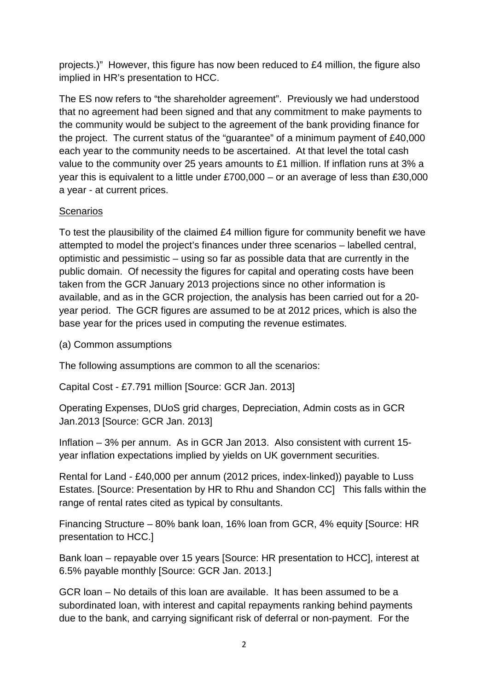projects.)" However, this figure has now been reduced to £4 million, the figure also implied in HR's presentation to HCC.

The ES now refers to "the shareholder agreement". Previously we had understood that no agreement had been signed and that any commitment to make payments to the community would be subject to the agreement of the bank providing finance for the project. The current status of the "guarantee" of a minimum payment of £40,000 each year to the community needs to be ascertained. At that level the total cash value to the community over 25 years amounts to £1 million. If inflation runs at 3% a year this is equivalent to a little under £700,000 – or an average of less than £30,000 a year - at current prices.

# **Scenarios**

To test the plausibility of the claimed £4 million figure for community benefit we have attempted to model the project's finances under three scenarios – labelled central, optimistic and pessimistic – using so far as possible data that are currently in the public domain. Of necessity the figures for capital and operating costs have been taken from the GCR January 2013 projections since no other information is available, and as in the GCR projection, the analysis has been carried out for a 20 year period. The GCR figures are assumed to be at 2012 prices, which is also the base year for the prices used in computing the revenue estimates.

(a) Common assumptions

The following assumptions are common to all the scenarios:

Capital Cost - £7.791 million [Source: GCR Jan. 2013]

Operating Expenses, DUoS grid charges, Depreciation, Admin costs as in GCR Jan.2013 [Source: GCR Jan. 2013]

Inflation – 3% per annum. As in GCR Jan 2013. Also consistent with current 15 year inflation expectations implied by yields on UK government securities.

Rental for Land - £40,000 per annum (2012 prices, index-linked)) payable to Luss Estates. [Source: Presentation by HR to Rhu and Shandon CC] This falls within the range of rental rates cited as typical by consultants.

Financing Structure – 80% bank loan, 16% loan from GCR, 4% equity [Source: HR presentation to HCC.]

Bank loan – repayable over 15 years [Source: HR presentation to HCC], interest at 6.5% payable monthly [Source: GCR Jan. 2013.]

GCR loan – No details of this loan are available. It has been assumed to be a subordinated loan, with interest and capital repayments ranking behind payments due to the bank, and carrying significant risk of deferral or non-payment. For the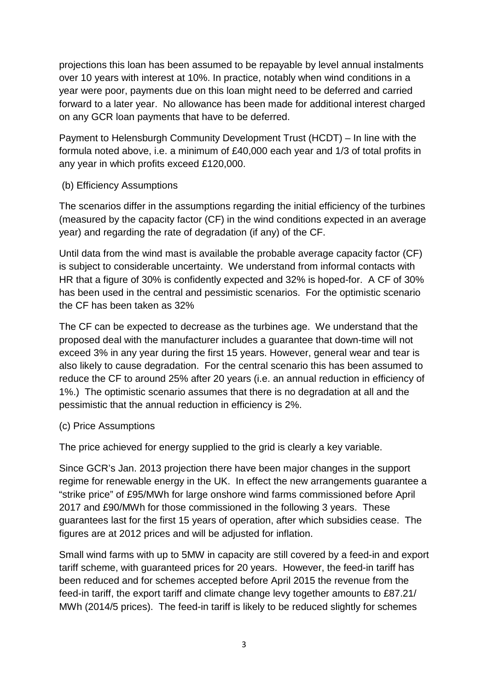projections this loan has been assumed to be repayable by level annual instalments over 10 years with interest at 10%. In practice, notably when wind conditions in a year were poor, payments due on this loan might need to be deferred and carried forward to a later year. No allowance has been made for additional interest charged on any GCR loan payments that have to be deferred.

Payment to Helensburgh Community Development Trust (HCDT) – In line with the formula noted above, i.e. a minimum of £40,000 each year and 1/3 of total profits in any year in which profits exceed £120,000.

## (b) Efficiency Assumptions

The scenarios differ in the assumptions regarding the initial efficiency of the turbines (measured by the capacity factor (CF) in the wind conditions expected in an average year) and regarding the rate of degradation (if any) of the CF.

Until data from the wind mast is available the probable average capacity factor (CF) is subject to considerable uncertainty. We understand from informal contacts with HR that a figure of 30% is confidently expected and 32% is hoped-for. A CF of 30% has been used in the central and pessimistic scenarios. For the optimistic scenario the CF has been taken as 32%

The CF can be expected to decrease as the turbines age. We understand that the proposed deal with the manufacturer includes a guarantee that down-time will not exceed 3% in any year during the first 15 years. However, general wear and tear is also likely to cause degradation. For the central scenario this has been assumed to reduce the CF to around 25% after 20 years (i.e. an annual reduction in efficiency of 1%.) The optimistic scenario assumes that there is no degradation at all and the pessimistic that the annual reduction in efficiency is 2%.

## (c) Price Assumptions

The price achieved for energy supplied to the grid is clearly a key variable.

Since GCR's Jan. 2013 projection there have been major changes in the support regime for renewable energy in the UK. In effect the new arrangements guarantee a "strike price" of £95/MWh for large onshore wind farms commissioned before April 2017 and £90/MWh for those commissioned in the following 3 years. These guarantees last for the first 15 years of operation, after which subsidies cease. The figures are at 2012 prices and will be adjusted for inflation.

Small wind farms with up to 5MW in capacity are still covered by a feed-in and export tariff scheme, with guaranteed prices for 20 years. However, the feed-in tariff has been reduced and for schemes accepted before April 2015 the revenue from the feed-in tariff, the export tariff and climate change levy together amounts to £87.21/ MWh (2014/5 prices). The feed-in tariff is likely to be reduced slightly for schemes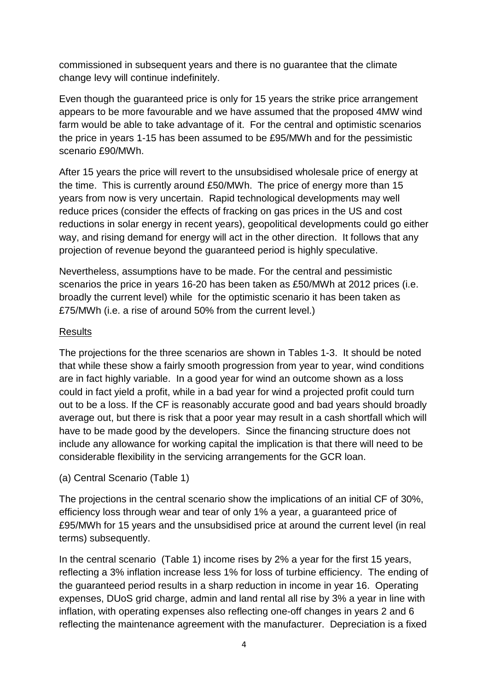commissioned in subsequent years and there is no guarantee that the climate change levy will continue indefinitely.

Even though the guaranteed price is only for 15 years the strike price arrangement appears to be more favourable and we have assumed that the proposed 4MW wind farm would be able to take advantage of it. For the central and optimistic scenarios the price in years 1-15 has been assumed to be £95/MWh and for the pessimistic scenario £90/MWh.

After 15 years the price will revert to the unsubsidised wholesale price of energy at the time. This is currently around £50/MWh. The price of energy more than 15 years from now is very uncertain. Rapid technological developments may well reduce prices (consider the effects of fracking on gas prices in the US and cost reductions in solar energy in recent years), geopolitical developments could go either way, and rising demand for energy will act in the other direction. It follows that any projection of revenue beyond the guaranteed period is highly speculative.

Nevertheless, assumptions have to be made. For the central and pessimistic scenarios the price in years 16-20 has been taken as £50/MWh at 2012 prices (i.e. broadly the current level) while for the optimistic scenario it has been taken as £75/MWh (i.e. a rise of around 50% from the current level.)

## **Results**

The projections for the three scenarios are shown in Tables 1-3. It should be noted that while these show a fairly smooth progression from year to year, wind conditions are in fact highly variable. In a good year for wind an outcome shown as a loss could in fact yield a profit, while in a bad year for wind a projected profit could turn out to be a loss. If the CF is reasonably accurate good and bad years should broadly average out, but there is risk that a poor year may result in a cash shortfall which will have to be made good by the developers. Since the financing structure does not include any allowance for working capital the implication is that there will need to be considerable flexibility in the servicing arrangements for the GCR loan.

(a) Central Scenario (Table 1)

The projections in the central scenario show the implications of an initial CF of 30%, efficiency loss through wear and tear of only 1% a year, a guaranteed price of £95/MWh for 15 years and the unsubsidised price at around the current level (in real terms) subsequently.

In the central scenario (Table 1) income rises by 2% a year for the first 15 years, reflecting a 3% inflation increase less 1% for loss of turbine efficiency. The ending of the guaranteed period results in a sharp reduction in income in year 16. Operating expenses, DUoS grid charge, admin and land rental all rise by 3% a year in line with inflation, with operating expenses also reflecting one-off changes in years 2 and 6 reflecting the maintenance agreement with the manufacturer. Depreciation is a fixed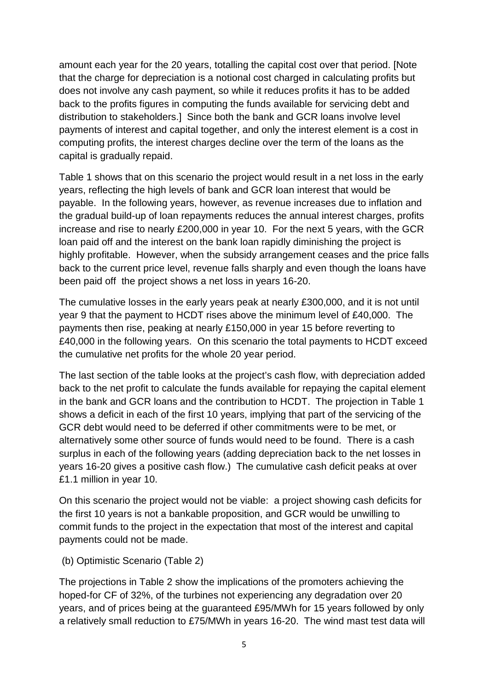amount each year for the 20 years, totalling the capital cost over that period. [Note that the charge for depreciation is a notional cost charged in calculating profits but does not involve any cash payment, so while it reduces profits it has to be added back to the profits figures in computing the funds available for servicing debt and distribution to stakeholders.] Since both the bank and GCR loans involve level payments of interest and capital together, and only the interest element is a cost in computing profits, the interest charges decline over the term of the loans as the capital is gradually repaid.

Table 1 shows that on this scenario the project would result in a net loss in the early years, reflecting the high levels of bank and GCR loan interest that would be payable. In the following years, however, as revenue increases due to inflation and the gradual build-up of loan repayments reduces the annual interest charges, profits increase and rise to nearly £200,000 in year 10. For the next 5 years, with the GCR loan paid off and the interest on the bank loan rapidly diminishing the project is highly profitable. However, when the subsidy arrangement ceases and the price falls back to the current price level, revenue falls sharply and even though the loans have been paid off the project shows a net loss in years 16-20.

The cumulative losses in the early years peak at nearly £300,000, and it is not until year 9 that the payment to HCDT rises above the minimum level of £40,000. The payments then rise, peaking at nearly £150,000 in year 15 before reverting to £40,000 in the following years. On this scenario the total payments to HCDT exceed the cumulative net profits for the whole 20 year period.

The last section of the table looks at the project's cash flow, with depreciation added back to the net profit to calculate the funds available for repaying the capital element in the bank and GCR loans and the contribution to HCDT. The projection in Table 1 shows a deficit in each of the first 10 years, implying that part of the servicing of the GCR debt would need to be deferred if other commitments were to be met, or alternatively some other source of funds would need to be found. There is a cash surplus in each of the following years (adding depreciation back to the net losses in years 16-20 gives a positive cash flow.) The cumulative cash deficit peaks at over £1.1 million in year 10.

On this scenario the project would not be viable: a project showing cash deficits for the first 10 years is not a bankable proposition, and GCR would be unwilling to commit funds to the project in the expectation that most of the interest and capital payments could not be made.

#### (b) Optimistic Scenario (Table 2)

The projections in Table 2 show the implications of the promoters achieving the hoped-for CF of 32%, of the turbines not experiencing any degradation over 20 years, and of prices being at the guaranteed £95/MWh for 15 years followed by only a relatively small reduction to £75/MWh in years 16-20. The wind mast test data will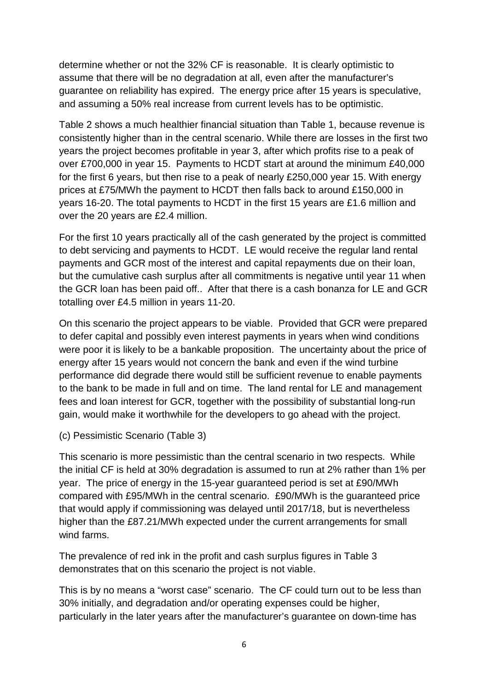determine whether or not the 32% CF is reasonable. It is clearly optimistic to assume that there will be no degradation at all, even after the manufacturer's guarantee on reliability has expired. The energy price after 15 years is speculative, and assuming a 50% real increase from current levels has to be optimistic.

Table 2 shows a much healthier financial situation than Table 1, because revenue is consistently higher than in the central scenario. While there are losses in the first two years the project becomes profitable in year 3, after which profits rise to a peak of over £700,000 in year 15. Payments to HCDT start at around the minimum £40,000 for the first 6 years, but then rise to a peak of nearly £250,000 year 15. With energy prices at £75/MWh the payment to HCDT then falls back to around £150,000 in years 16-20. The total payments to HCDT in the first 15 years are £1.6 million and over the 20 years are £2.4 million.

For the first 10 years practically all of the cash generated by the project is committed to debt servicing and payments to HCDT. LE would receive the regular land rental payments and GCR most of the interest and capital repayments due on their loan, but the cumulative cash surplus after all commitments is negative until year 11 when the GCR loan has been paid off.. After that there is a cash bonanza for LE and GCR totalling over £4.5 million in years 11-20.

On this scenario the project appears to be viable. Provided that GCR were prepared to defer capital and possibly even interest payments in years when wind conditions were poor it is likely to be a bankable proposition. The uncertainty about the price of energy after 15 years would not concern the bank and even if the wind turbine performance did degrade there would still be sufficient revenue to enable payments to the bank to be made in full and on time. The land rental for LE and management fees and loan interest for GCR, together with the possibility of substantial long-run gain, would make it worthwhile for the developers to go ahead with the project.

## (c) Pessimistic Scenario (Table 3)

This scenario is more pessimistic than the central scenario in two respects. While the initial CF is held at 30% degradation is assumed to run at 2% rather than 1% per year. The price of energy in the 15-year guaranteed period is set at £90/MWh compared with £95/MWh in the central scenario. £90/MWh is the guaranteed price that would apply if commissioning was delayed until 2017/18, but is nevertheless higher than the £87.21/MWh expected under the current arrangements for small wind farms.

The prevalence of red ink in the profit and cash surplus figures in Table 3 demonstrates that on this scenario the project is not viable.

This is by no means a "worst case" scenario. The CF could turn out to be less than 30% initially, and degradation and/or operating expenses could be higher, particularly in the later years after the manufacturer's guarantee on down-time has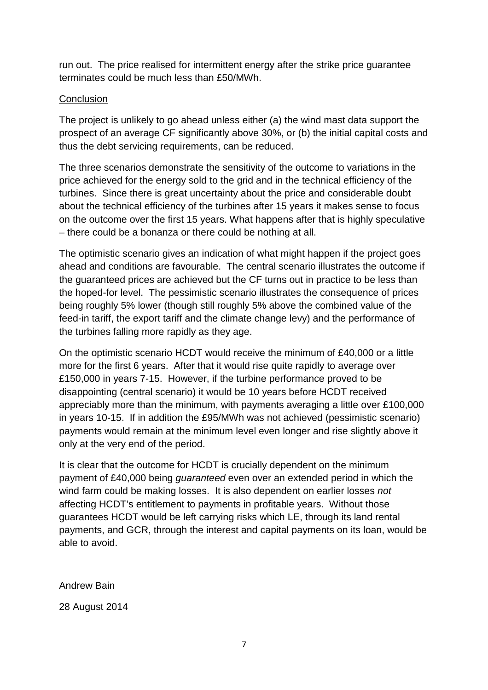run out. The price realised for intermittent energy after the strike price guarantee terminates could be much less than £50/MWh.

## **Conclusion**

The project is unlikely to go ahead unless either (a) the wind mast data support the prospect of an average CF significantly above 30%, or (b) the initial capital costs and thus the debt servicing requirements, can be reduced.

The three scenarios demonstrate the sensitivity of the outcome to variations in the price achieved for the energy sold to the grid and in the technical efficiency of the turbines. Since there is great uncertainty about the price and considerable doubt about the technical efficiency of the turbines after 15 years it makes sense to focus on the outcome over the first 15 years. What happens after that is highly speculative – there could be a bonanza or there could be nothing at all.

The optimistic scenario gives an indication of what might happen if the project goes ahead and conditions are favourable. The central scenario illustrates the outcome if the guaranteed prices are achieved but the CF turns out in practice to be less than the hoped-for level. The pessimistic scenario illustrates the consequence of prices being roughly 5% lower (though still roughly 5% above the combined value of the feed-in tariff, the export tariff and the climate change levy) and the performance of the turbines falling more rapidly as they age.

On the optimistic scenario HCDT would receive the minimum of £40,000 or a little more for the first 6 years. After that it would rise quite rapidly to average over £150,000 in years 7-15. However, if the turbine performance proved to be disappointing (central scenario) it would be 10 years before HCDT received appreciably more than the minimum, with payments averaging a little over £100,000 in years 10-15. If in addition the £95/MWh was not achieved (pessimistic scenario) payments would remain at the minimum level even longer and rise slightly above it only at the very end of the period.

It is clear that the outcome for HCDT is crucially dependent on the minimum payment of £40,000 being guaranteed even over an extended period in which the wind farm could be making losses. It is also dependent on earlier losses not affecting HCDT's entitlement to payments in profitable years. Without those guarantees HCDT would be left carrying risks which LE, through its land rental payments, and GCR, through the interest and capital payments on its loan, would be able to avoid.

Andrew Bain

28 August 2014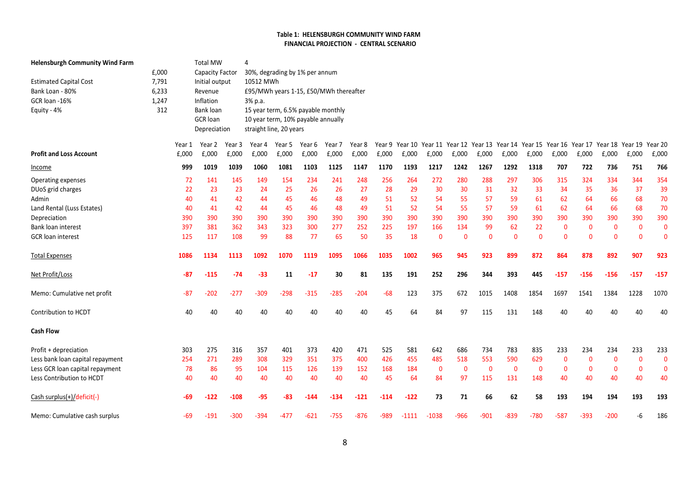#### Table 1: HELENSBURGH COMMUNITY WIND FARM FINANCIAL PROJECTION - CENTRAL SCENARIO

| <b>Helensburgh Community Wind Farm</b> |       |        | <b>Total MW</b>        |        | $\Delta$                               |        |        |        |        |        |                                                 |              |             |              |              |              |                 |              |              |              |              |
|----------------------------------------|-------|--------|------------------------|--------|----------------------------------------|--------|--------|--------|--------|--------|-------------------------------------------------|--------------|-------------|--------------|--------------|--------------|-----------------|--------------|--------------|--------------|--------------|
|                                        | E,000 |        | <b>Capacity Factor</b> |        | 30%, degrading by 1% per annum         |        |        |        |        |        |                                                 |              |             |              |              |              |                 |              |              |              |              |
| <b>Estimated Capital Cost</b>          | 7,791 |        | Initial output         |        | 10512 MWh                              |        |        |        |        |        |                                                 |              |             |              |              |              |                 |              |              |              |              |
| Bank Loan - 80%                        | 6,233 |        | Revenue                |        | £95/MWh years 1-15, £50/MWh thereafter |        |        |        |        |        |                                                 |              |             |              |              |              |                 |              |              |              |              |
| GCR loan -16%                          | 1,247 |        | Inflation              |        | 3% p.a.                                |        |        |        |        |        |                                                 |              |             |              |              |              |                 |              |              |              |              |
| Equity - 4%                            | 312   |        | Bank loan              |        | 15 year term, 6.5% payable monthly     |        |        |        |        |        |                                                 |              |             |              |              |              |                 |              |              |              |              |
|                                        |       |        | <b>GCR</b> loan        |        | 10 year term, 10% payable annually     |        |        |        |        |        |                                                 |              |             |              |              |              |                 |              |              |              |              |
|                                        |       |        | Depreciation           |        | straight line, 20 years                |        |        |        |        |        |                                                 |              |             |              |              |              |                 |              |              |              |              |
|                                        |       | Year 1 | Year 2                 | Year 3 | Year 4                                 | Year 5 | Year 6 | Year 7 | Year 8 | Year 9 | Year 10 Year 11 Year 12 Year 13 Year 14 Year 15 |              |             |              |              |              | Year 16 Year 17 |              | Year 18      | Year 19      | Year 20      |
| <b>Profit and Loss Account</b>         |       | £,000  | £,000                  | £,000  | £,000                                  | £,000  | £,000  | £,000  | £,000  | £,000  | £,000                                           | £,000        | £,000       | £,000        | £,000        | £,000        | £,000           | £,000        | E,000        | £,000        | £,000        |
| Income                                 |       | 999    | 1019                   | 1039   | 1060                                   | 1081   | 1103   | 1125   | 1147   | 1170   | 1193                                            | 1217         | 1242        | 1267         | 1292         | 1318         | 707             | 722          | 736          | 751          | 766          |
| Operating expenses                     |       | 72     | 141                    | 145    | 149                                    | 154    | 234    | 241    | 248    | 256    | 264                                             | 272          | 280         | 288          | 297          | 306          | 315             | 324          | 334          | 344          | 354          |
| DUoS grid charges                      |       | 22     | 23                     | 23     | 24                                     | 25     | 26     | 26     | 27     | 28     | 29                                              | 30           | 30          | 31           | 32           | 33           | 34              | 35           | 36           | 37           | 39           |
| Admin                                  |       | 40     | 41                     | 42     | 44                                     | 45     | 46     | 48     | 49     | 51     | 52                                              | 54           | 55          | 57           | 59           | 61           | 62              | 64           | 66           | 68           | 70           |
| Land Rental (Luss Estates)             |       | 40     | 41                     | 42     | 44                                     | 45     | 46     | 48     | 49     | 51     | 52                                              | 54           | 55          | 57           | 59           | 61           | 62              | 64           | 66           | 68           | 70           |
| Depreciation                           |       | 390    | 390                    | 390    | 390                                    | 390    | 390    | 390    | 390    | 390    | 390                                             | 390          | 390         | 390          | 390          | 390          | 390             | 390          | 390          | 390          | 390          |
| <b>Bank loan interest</b>              |       | 397    | 381                    | 362    | 343                                    | 323    | 300    | 277    | 252    | 225    | 197                                             | 166          | 134         | 99           | 62           | 22           | $\mathbf 0$     | $\mathbf{0}$ | $\mathbf{0}$ | $\mathbf{0}$ | $\mathbf{0}$ |
| <b>GCR</b> loan interest               |       | 125    | 117                    | 108    | 99                                     | 88     | 77     | 65     | 50     | 35     | 18                                              | $\mathbf{0}$ | $\Omega$    | $\mathbf{0}$ | $\mathbf{0}$ | $\Omega$     | $\mathbf{0}$    | $\Omega$     | $\mathbf{0}$ | $\Omega$     | $\Omega$     |
| <b>Total Expenses</b>                  |       | 1086   | 1134                   | 1113   | 1092                                   | 1070   | 1119   | 1095   | 1066   | 1035   | 1002                                            | 965          | 945         | 923          | 899          | 872          | 864             | 878          | 892          | 907          | 923          |
| Net Profit/Loss                        |       | -87    | $-115$                 | $-74$  | $-33$                                  | 11     | $-17$  | 30     | 81     | 135    | 191                                             | 252          | 296         | 344          | 393          | 445          | $-157$          | $-156$       | $-156$       | $-157$       | $-157$       |
| Memo: Cumulative net profit            |       | $-87$  | $-202$                 | $-277$ | $-309$                                 | $-298$ | $-315$ | $-285$ | $-204$ | $-68$  | 123                                             | 375          | 672         | 1015         | 1408         | 1854         | 1697            | 1541         | 1384         | 1228         | 1070         |
| Contribution to HCDT                   |       | 40     | 40                     | 40     | 40                                     | 40     | 40     | 40     | 40     | 45     | 64                                              | 84           | 97          | 115          | 131          | 148          | 40              | 40           | 40           | 40           | 40           |
| <b>Cash Flow</b>                       |       |        |                        |        |                                        |        |        |        |        |        |                                                 |              |             |              |              |              |                 |              |              |              |              |
| Profit + depreciation                  |       | 303    | 275                    | 316    | 357                                    | 401    | 373    | 420    | 471    | 525    | 581                                             | 642          | 686         | 734          | 783          | 835          | 233             | 234          | 234          | 233          | 233          |
| Less bank loan capital repayment       |       | 254    | 271                    | 289    | 308                                    | 329    | 351    | 375    | 400    | 426    | 455                                             | 485          | 518         | 553          | 590          | 629          | $\mathbf 0$     | $\mathbf 0$  | 0            | 0            | $\Omega$     |
| Less GCR loan capital repayment        |       | 78     | 86                     | 95     | 104                                    | 115    | 126    | 139    | 152    | 168    | 184                                             | 0            | $\mathbf 0$ | $\mathbf{0}$ | $\mathbf{0}$ | $\mathbf{0}$ | $\mathbf 0$     | $\mathbf 0$  | 0            | $\mathbf{0}$ | $\Omega$     |
| Less Contribution to HCDT              |       | 40     | 40                     | 40     | 40                                     | 40     | 40     | 40     | 40     | 45     | 64                                              | 84           | 97          | 115          | 131          | 148          | 40              | 40           | 40           | 40           | 40           |
| Cash surplus(+)/deficit(-)             |       | -69    | -122                   | $-108$ | -95                                    | -83    | -144   | -134   | -121   | -114   | $-122$                                          | 73           | 71          | 66           | 62           | 58           | 193             | 194          | 194          | 193          | 193          |
| Memo: Cumulative cash surplus          |       | -69    | -191                   | $-300$ | -394                                   | -477   | -621   | $-755$ | $-876$ | -989   | $-1111$                                         | $-1038$      | $-966$      | $-901$       | $-839$       | $-780$       | $-587$          | $-393$       | $-200$       | -6           | 186          |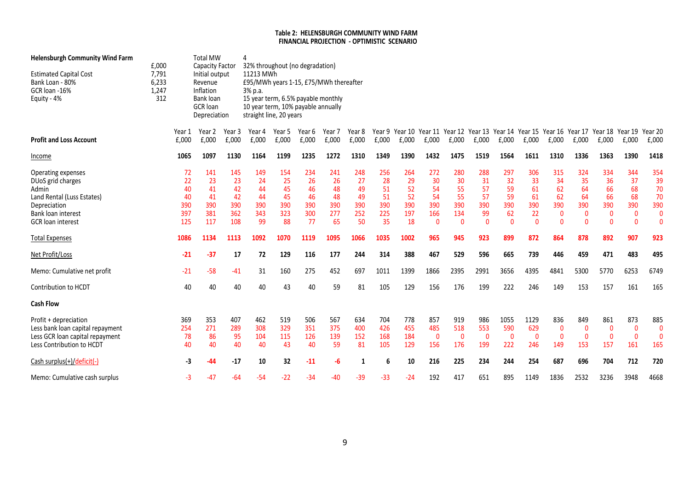#### Table 2: HELENSBURGH COMMUNITY WIND FARM FINANCIAL PROJECTION - OPTIMISTIC SCENARIO

| <b>Helensburgh Community Wind Farm</b><br><b>Estimated Capital Cost</b><br>Bank Loan - 80%<br>GCR loan -16%<br>Equity - 4%                                                                                                                                 | £,000<br>7,791<br>6,233<br>1,247<br>312 |                                                                           | <b>Total MW</b><br><b>Capacity Factor</b><br>Initial output<br>Revenue<br>Inflation<br>Bank loan<br><b>GCR</b> loan<br>Depreciation |                                                                         | 4<br>32% throughout (no degradation)<br>11213 MWh<br>£95/MWh years 1-15, £75/MWh thereafter<br>3% p.a.<br>15 year term, 6.5% payable monthly<br>10 year term, 10% payable annually<br>straight line, 20 years |                                                                       |                                                                       |                                                                       |                                                                       |                                                                         |                                                                         |                                                                                  |                                                                              |                                                                             |                                                                             |                                                                             |                                                                                      |                                                                                       |                                                                                      |                                                                            |                                                                                       |
|------------------------------------------------------------------------------------------------------------------------------------------------------------------------------------------------------------------------------------------------------------|-----------------------------------------|---------------------------------------------------------------------------|-------------------------------------------------------------------------------------------------------------------------------------|-------------------------------------------------------------------------|---------------------------------------------------------------------------------------------------------------------------------------------------------------------------------------------------------------|-----------------------------------------------------------------------|-----------------------------------------------------------------------|-----------------------------------------------------------------------|-----------------------------------------------------------------------|-------------------------------------------------------------------------|-------------------------------------------------------------------------|----------------------------------------------------------------------------------|------------------------------------------------------------------------------|-----------------------------------------------------------------------------|-----------------------------------------------------------------------------|-----------------------------------------------------------------------------|--------------------------------------------------------------------------------------|---------------------------------------------------------------------------------------|--------------------------------------------------------------------------------------|----------------------------------------------------------------------------|---------------------------------------------------------------------------------------|
| <b>Profit and Loss Account</b>                                                                                                                                                                                                                             |                                         | Year 1<br>£,000                                                           | Year 2<br>£,000                                                                                                                     | Year 3<br>£,000                                                         | Year 4<br>£,000                                                                                                                                                                                               | Year 5<br>E,000                                                       | Year 6<br>£,000                                                       | Year 7<br>£,000                                                       | Year 8<br>£,000                                                       | £,000                                                                   | £,000                                                                   | £,000                                                                            | £,000                                                                        | £,000                                                                       | £,000                                                                       | £,000                                                                       | Year 9 Year 10 Year 11 Year 12 Year 13 Year 14 Year 15 Year 16 Year 17<br>£,000      | £,000                                                                                 | Year 18 Year 19<br>£,000                                                             | £,000                                                                      | Year 20<br>£,000                                                                      |
| Income                                                                                                                                                                                                                                                     |                                         | 1065                                                                      | 1097                                                                                                                                | 1130                                                                    | 1164                                                                                                                                                                                                          | 1199                                                                  | 1235                                                                  | 1272                                                                  | 1310                                                                  | 1349                                                                    | 1390                                                                    | 1432                                                                             | 1475                                                                         | 1519                                                                        | 1564                                                                        | 1611                                                                        | 1310                                                                                 | 1336                                                                                  | 1363                                                                                 | 1390                                                                       | 1418                                                                                  |
| Operating expenses<br>DUoS grid charges<br>Admin<br>Land Rental (Luss Estates)<br>Depreciation<br>Bank loan interest<br><b>GCR</b> loan interest<br><b>Total Expenses</b><br>Net Profit/Loss<br>Memo: Cumulative net profit<br><b>Contribution to HCDT</b> |                                         | 72<br>22<br>40<br>40<br>390<br>397<br>125<br>1086<br>$-21$<br>$-21$<br>40 | 141<br>23<br>41<br>41<br>390<br>381<br>117<br>1134<br>$-37$<br>$-58$<br>40                                                          | 145<br>23<br>42<br>42<br>390<br>362<br>108<br>1113<br>17<br>$-41$<br>40 | 149<br>24<br>44<br>44<br>390<br>343<br>99<br>1092<br>72<br>31<br>40                                                                                                                                           | 154<br>25<br>45<br>45<br>390<br>323<br>88<br>1070<br>129<br>160<br>43 | 234<br>26<br>46<br>46<br>390<br>300<br>77<br>1119<br>116<br>275<br>40 | 241<br>26<br>48<br>48<br>390<br>277<br>65<br>1095<br>177<br>452<br>59 | 248<br>27<br>49<br>49<br>390<br>252<br>50<br>1066<br>244<br>697<br>81 | 256<br>28<br>51<br>51<br>390<br>225<br>35<br>1035<br>314<br>1011<br>105 | 264<br>29<br>52<br>52<br>390<br>197<br>18<br>1002<br>388<br>1399<br>129 | 272<br>30<br>54<br>54<br>390<br>166<br>$\mathbf{0}$<br>965<br>467<br>1866<br>156 | 280<br>30<br>55<br>55<br>390<br>134<br>$\Omega$<br>945<br>529<br>2395<br>176 | 288<br>31<br>57<br>57<br>390<br>99<br>$\Omega$<br>923<br>596<br>2991<br>199 | 297<br>32<br>59<br>59<br>390<br>62<br>$\Omega$<br>899<br>665<br>3656<br>222 | 306<br>33<br>61<br>61<br>390<br>22<br>$\Omega$<br>872<br>739<br>4395<br>246 | 315<br>34<br>62<br>62<br>390<br>$\mathbf 0$<br>$\Omega$<br>864<br>446<br>4841<br>149 | 324<br>35<br>64<br>64<br>390<br>$\mathbf{0}$<br>$\Omega$<br>878<br>459<br>5300<br>153 | 334<br>36<br>66<br>66<br>390<br>$\mathbf 0$<br>$\Omega$<br>892<br>471<br>5770<br>157 | 344<br>37<br>68<br>68<br>390<br>0<br>$\Omega$<br>907<br>483<br>6253<br>161 | 354<br>39<br>70<br>70<br>390<br>$\mathbf{0}$<br>$\Omega$<br>923<br>495<br>6749<br>165 |
| <b>Cash Flow</b>                                                                                                                                                                                                                                           |                                         |                                                                           |                                                                                                                                     |                                                                         |                                                                                                                                                                                                               |                                                                       |                                                                       |                                                                       |                                                                       |                                                                         |                                                                         |                                                                                  |                                                                              |                                                                             |                                                                             |                                                                             |                                                                                      |                                                                                       |                                                                                      |                                                                            |                                                                                       |
| Profit + depreciation<br>Less bank loan capital repayment<br>Less GCR loan capital repayment<br>Less Contribution to HCDT                                                                                                                                  |                                         | 369<br>254<br>78<br>40                                                    | 353<br>271<br>86<br>40                                                                                                              | 407<br>289<br>95<br>40                                                  | 462<br>308<br>104<br>40                                                                                                                                                                                       | 519<br>329<br>115<br>43                                               | 506<br>351<br>126<br>40                                               | 567<br>375<br>139<br>59                                               | 634<br>400<br>152<br>81                                               | 704<br>426<br>168<br>105                                                | 778<br>455<br>184<br>129                                                | 857<br>485<br>$\mathbf{0}$<br>156                                                | 919<br>518<br>$\mathbf{0}$<br>176                                            | 986<br>553<br>$\mathbf{0}$<br>199                                           | 1055<br>590<br>$\mathbf{0}$<br>222                                          | 1129<br>629<br>$\mathbf{0}$<br>246                                          | 836<br>0<br>$\mathbf{0}$<br>149                                                      | 849<br>$\mathbf{0}$<br>$\mathbf{0}$<br>153                                            | 861<br>0<br>$\mathbf{0}$<br>157                                                      | 873<br>$\Omega$<br>$\mathbf{0}$<br>161                                     | 885<br>$\Omega$<br>$\Omega$<br>165                                                    |
| Cash surplus(+)/deficit(-)                                                                                                                                                                                                                                 |                                         | -3                                                                        | -44                                                                                                                                 | $-17$                                                                   | 10                                                                                                                                                                                                            | 32                                                                    | $-11$                                                                 | -6                                                                    | 1                                                                     | 6                                                                       | 10                                                                      | 216                                                                              | 225                                                                          | 234                                                                         | 244                                                                         | 254                                                                         | 687                                                                                  | 696                                                                                   | 704                                                                                  | 712                                                                        | 720                                                                                   |
| Memo: Cumulative cash surplus                                                                                                                                                                                                                              |                                         | -3                                                                        | -47                                                                                                                                 | $-64$                                                                   | $-54$                                                                                                                                                                                                         | $-22$                                                                 | -34                                                                   | -40                                                                   | -39                                                                   | $-33$                                                                   | $-24$                                                                   | 192                                                                              | 417                                                                          | 651                                                                         | 895                                                                         | 1149                                                                        | 1836                                                                                 | 2532                                                                                  | 3236                                                                                 | 3948                                                                       | 4668                                                                                  |